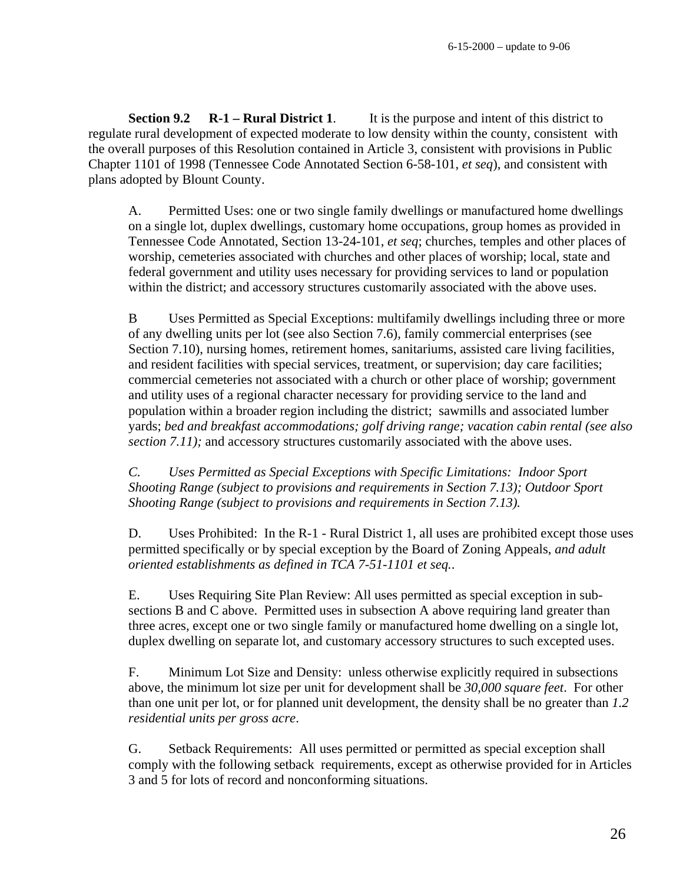**Section 9.2 R-1 – Rural District 1.** It is the purpose and intent of this district to regulate rural development of expected moderate to low density within the county, consistent with the overall purposes of this Resolution contained in Article 3, consistent with provisions in Public Chapter 1101 of 1998 (Tennessee Code Annotated Section 6-58-101, *et seq*), and consistent with plans adopted by Blount County.

A. Permitted Uses: one or two single family dwellings or manufactured home dwellings on a single lot, duplex dwellings, customary home occupations, group homes as provided in Tennessee Code Annotated, Section 13-24-101, *et seq*; churches, temples and other places of worship, cemeteries associated with churches and other places of worship; local, state and federal government and utility uses necessary for providing services to land or population within the district; and accessory structures customarily associated with the above uses.

B Uses Permitted as Special Exceptions: multifamily dwellings including three or more of any dwelling units per lot (see also Section 7.6), family commercial enterprises (see Section 7.10), nursing homes, retirement homes, sanitariums, assisted care living facilities, and resident facilities with special services, treatment, or supervision; day care facilities; commercial cemeteries not associated with a church or other place of worship; government and utility uses of a regional character necessary for providing service to the land and population within a broader region including the district; sawmills and associated lumber yards; *bed and breakfast accommodations; golf driving range; vacation cabin rental (see also section 7.11);* and accessory structures customarily associated with the above uses.

*C. Uses Permitted as Special Exceptions with Specific Limitations: Indoor Sport Shooting Range (subject to provisions and requirements in Section 7.13); Outdoor Sport Shooting Range (subject to provisions and requirements in Section 7.13).* 

D. Uses Prohibited: In the R-1 - Rural District 1, all uses are prohibited except those uses permitted specifically or by special exception by the Board of Zoning Appeals, *and adult oriented establishments as defined in TCA 7-51-1101 et seq.*.

E. Uses Requiring Site Plan Review: All uses permitted as special exception in subsections B and C above. Permitted uses in subsection A above requiring land greater than three acres, except one or two single family or manufactured home dwelling on a single lot, duplex dwelling on separate lot, and customary accessory structures to such excepted uses.

F. Minimum Lot Size and Density: unless otherwise explicitly required in subsections above, the minimum lot size per unit for development shall be *30,000 square feet*. For other than one unit per lot, or for planned unit development, the density shall be no greater than *1.2 residential units per gross acre*.

G. Setback Requirements: All uses permitted or permitted as special exception shall comply with the following setback requirements, except as otherwise provided for in Articles 3 and 5 for lots of record and nonconforming situations.